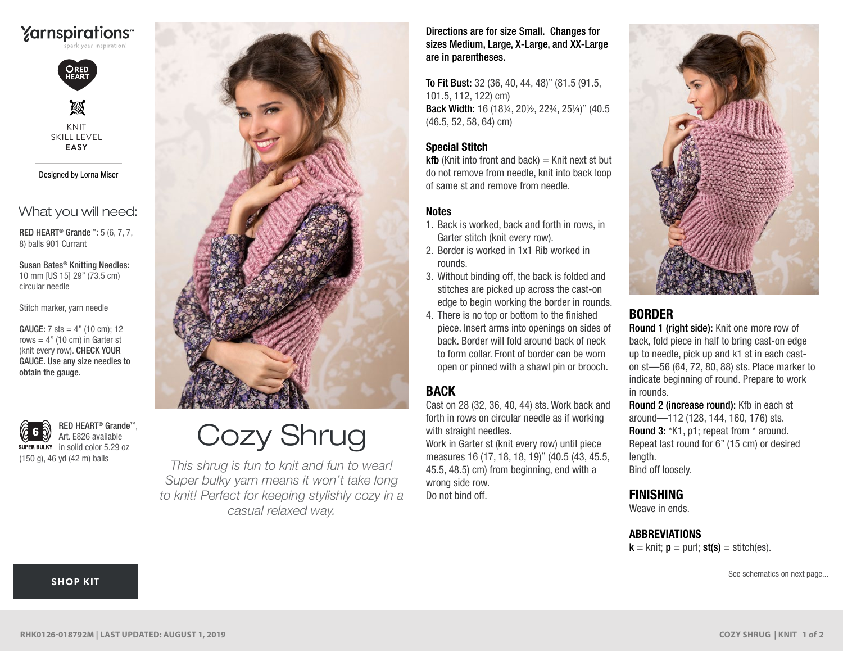

ORED<br>HEART

M KNIT SKILL LEVEL **EASY**

Designed by Lorna Miser

What you will need:

RED HEART® Grande™: 5 (6, 7, 7, 8) balls 901 Currant

Susan Bates® Knitting Needles: 10 mm [US 15] 29" (73.5 cm) circular needle

Stitch marker, yarn needle

**GAUGE:** 7 sts =  $4"$  (10 cm); 12 rows  $= 4$ " (10 cm) in Garter st (knit every row). CHECK YOUR GAUGE. Use any size needles to obtain the gauge.

RED HEART® Grande™, Art. E826 available super BULKY in solid color 5.29 oz (150 g), 46 yd (42 m) balls



# Cozy Shrug

*This shrug is fun to knit and fun to wear! Super bulky yarn means it won't take long to knit! Perfect for keeping stylishly cozy in a casual relaxed way.*

Directions are for size Small. Changes for sizes Medium, Large, X-Large, and XX-Large are in parentheses.

To Fit Bust: 32 (36, 40, 44, 48)" (81.5 (91.5, 101.5, 112, 122) cm) Back Width: 16 (18¼, 20½, 22¾, 25¼)" (40.5 (46.5, 52, 58, 64) cm)

### Special Stitch

 $kfb$  (Knit into front and back) = Knit next st but do not remove from needle, knit into back loop of same st and remove from needle.

#### Notes

- 1. Back is worked, back and forth in rows, in Garter stitch (knit every row).
- 2. Border is worked in 1x1 Rib worked in rounds.
- 3. Without binding off, the back is folded and stitches are picked up across the cast-on edge to begin working the border in rounds.
- 4. There is no top or bottom to the finished piece. Insert arms into openings on sides of back. Border will fold around back of neck to form collar. Front of border can be worn open or pinned with a shawl pin or brooch.

## BACK

Cast on 28 (32, 36, 40, 44) sts. Work back and forth in rows on circular needle as if working with straight needles.

Work in Garter st (knit every row) until piece measures 16 (17, 18, 18, 19)" (40.5 (43, 45.5, 45.5, 48.5) cm) from beginning, end with a wrong side row.

Do not bind off



## BORDER

Round 1 (right side): Knit one more row of back, fold piece in half to bring cast-on edge up to needle, pick up and k1 st in each caston st—56 (64, 72, 80, 88) sts. Place marker to indicate beginning of round. Prepare to work in rounds.

Round 2 (increase round): Kfb in each st around—112 (128, 144, 160, 176) sts. Round 3: \*K1, p1; repeat from \* around. Repeat last round for 6" (15 cm) or desired length. Bind off loosely.

## FINISHING

Weave in ends.

#### **ABBREVIATIONS**

 $k =$  knit;  $p =$  purl; st(s) = stitch(es).

See schematics on next page...

#### [SHOP KIT](https://www.yarnspirations.com/red-heart-cozy-shrug/RHK0126-018792M.html#utm_source=pdf-yarnspirations&utm_medium=referral&utm_campaign=pdf-RHK0126-018792M)